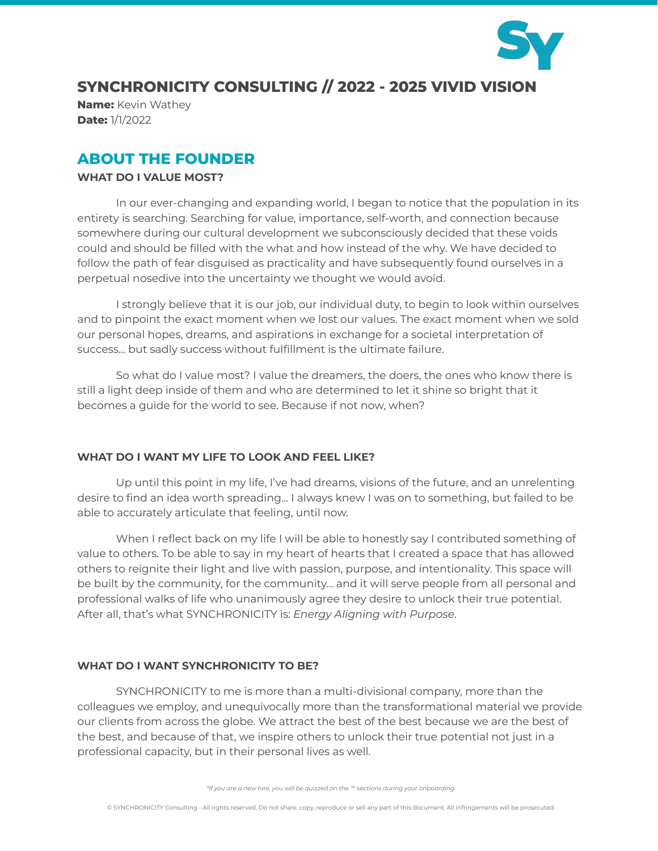

# **SYNCHRONICITY CONSULTING // 2022 - 2025 VIVID VISION**

**Name:** Kevin Wathey **Date:** 1/1/2022

# **ABOUT THE FOUNDER**

### **WHAT DO I VALUE MOST?**

In our ever-changing and expanding world, I began to notice that the population in its entirety is searching. Searching for value, importance, self-worth, and connection because somewhere during our cultural development we subconsciously decided that these voids could and should be filled with the what and how instead of the why. We have decided to follow the path of fear disguised as practicality and have subsequently found ourselves in a perpetual nosedive into the uncertainty we thought we would avoid.

I strongly believe that it is our job, our individual duty, to begin to look within ourselves and to pinpoint the exact moment when we lost our values. The exact moment when we sold our personal hopes, dreams, and aspirations in exchange for a societal interpretation of success... but sadly success without fulfillment is the ultimate failure.

So what do I value most? I value the dreamers, the doers, the ones who know there is still a light deep inside of them and who are determined to let it shine so bright that it becomes a guide for the world to see. Because if not now, when?

# **WHAT DO I WANT MY LIFE TO LOOK AND FEEL LIKE?**

Up until this point in my life, I've had dreams, visions of the future, and an unrelenting desire to find an idea worth spreading... I always knew I was on to something, but failed to be able to accurately articulate that feeling, until now.

When I reflect back on my life I will be able to honestly say I contributed something of value to others. To be able to say in my heart of hearts that I created a space that has allowed others to reignite their light and live with passion, purpose, and intentionality. This space will be built by the community, for the community… and it will serve people from all personal and professional walks of life who unanimously agree they desire to unlock their true potential. After all, that's what SYNCHRONICITY is: *Energy Aligning with Purpose*.

#### **WHAT DO I WANT SYNCHRONICITY TO BE?**

SYNCHRONICITY to me is more than a multi-divisional company, more than the colleagues we employ, and unequivocally more than the transformational material we provide our clients from across the globe. We attract the best of the best because we are the best of the best, and because of that, we inspire others to unlock their true potential not just in a professional capacity, but in their personal lives as well.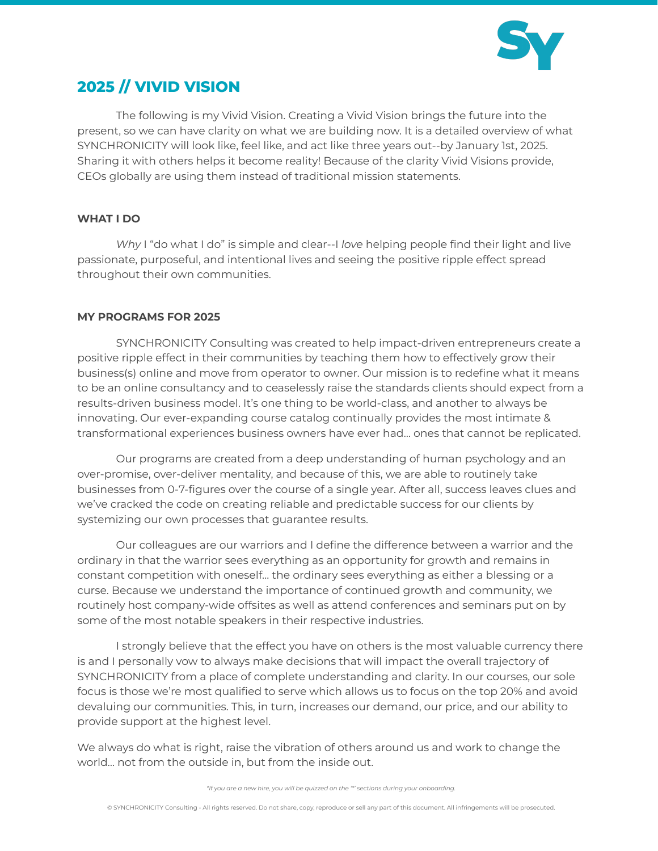

# **2025 // VIVID VISION**

The following is my Vivid Vision. Creating a Vivid Vision brings the future into the present, so we can have clarity on what we are building now. It is a detailed overview of what SYNCHRONICITY will look like, feel like, and act like three years out--by January 1st, 2025. Sharing it with others helps it become reality! Because of the clarity Vivid Visions provide, CEOs globally are using them instead of traditional mission statements.

## **WHAT I DO**

*Why* I "do what I do" is simple and clear--I *love* helping people find their light and live passionate, purposeful, and intentional lives and seeing the positive ripple effect spread throughout their own communities.

## **MY PROGRAMS FOR 2025**

SYNCHRONICITY Consulting was created to help impact-driven entrepreneurs create a positive ripple effect in their communities by teaching them how to effectively grow their business(s) online and move from operator to owner. Our mission is to redefine what it means to be an online consultancy and to ceaselessly raise the standards clients should expect from a results-driven business model. It's one thing to be world-class, and another to always be innovating. Our ever-expanding course catalog continually provides the most intimate & transformational experiences business owners have ever had… ones that cannot be replicated.

Our programs are created from a deep understanding of human psychology and an over-promise, over-deliver mentality, and because of this, we are able to routinely take businesses from 0-7-figures over the course of a single year. After all, success leaves clues and we've cracked the code on creating reliable and predictable success for our clients by systemizing our own processes that guarantee results.

Our colleagues are our warriors and I define the difference between a warrior and the ordinary in that the warrior sees everything as an opportunity for growth and remains in constant competition with oneself… the ordinary sees everything as either a blessing or a curse. Because we understand the importance of continued growth and community, we routinely host company-wide offsites as well as attend conferences and seminars put on by some of the most notable speakers in their respective industries.

I strongly believe that the effect you have on others is the most valuable currency there is and I personally vow to always make decisions that will impact the overall trajectory of SYNCHRONICITY from a place of complete understanding and clarity. In our courses, our sole focus is those we're most qualified to serve which allows us to focus on the top 20% and avoid devaluing our communities. This, in turn, increases our demand, our price, and our ability to provide support at the highest level.

We always do what is right, raise the vibration of others around us and work to change the world… not from the outside in, but from the inside out.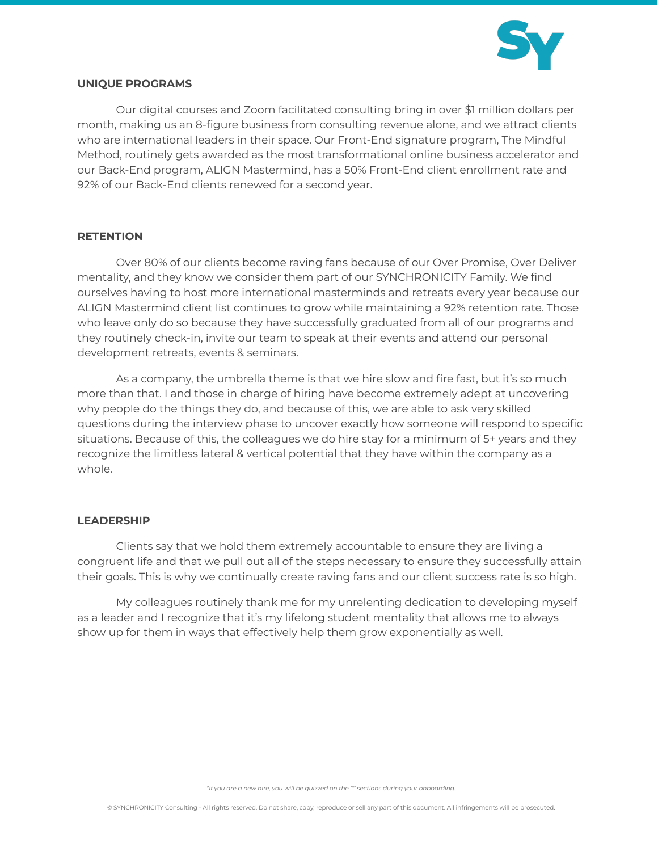

#### **UNIQUE PROGRAMS**

Our digital courses and Zoom facilitated consulting bring in over \$1 million dollars per month, making us an 8-figure business from consulting revenue alone, and we attract clients who are international leaders in their space. Our Front-End signature program, The Mindful Method, routinely gets awarded as the most transformational online business accelerator and our Back-End program, ALIGN Mastermind, has a 50% Front-End client enrollment rate and 92% of our Back-End clients renewed for a second year.

#### **RETENTION**

Over 80% of our clients become raving fans because of our Over Promise, Over Deliver mentality, and they know we consider them part of our SYNCHRONICITY Family. We find ourselves having to host more international masterminds and retreats every year because our ALIGN Mastermind client list continues to grow while maintaining a 92% retention rate. Those who leave only do so because they have successfully graduated from all of our programs and they routinely check-in, invite our team to speak at their events and attend our personal development retreats, events & seminars.

As a company, the umbrella theme is that we hire slow and fire fast, but it's so much more than that. I and those in charge of hiring have become extremely adept at uncovering why people do the things they do, and because of this, we are able to ask very skilled questions during the interview phase to uncover exactly how someone will respond to specific situations. Because of this, the colleagues we do hire stay for a minimum of 5+ years and they recognize the limitless lateral & vertical potential that they have within the company as a whole.

#### **LEADERSHIP**

Clients say that we hold them extremely accountable to ensure they are living a congruent life and that we pull out all of the steps necessary to ensure they successfully attain their goals. This is why we continually create raving fans and our client success rate is so high.

My colleagues routinely thank me for my unrelenting dedication to developing myself as a leader and I recognize that it's my lifelong student mentality that allows me to always show up for them in ways that effectively help them grow exponentially as well.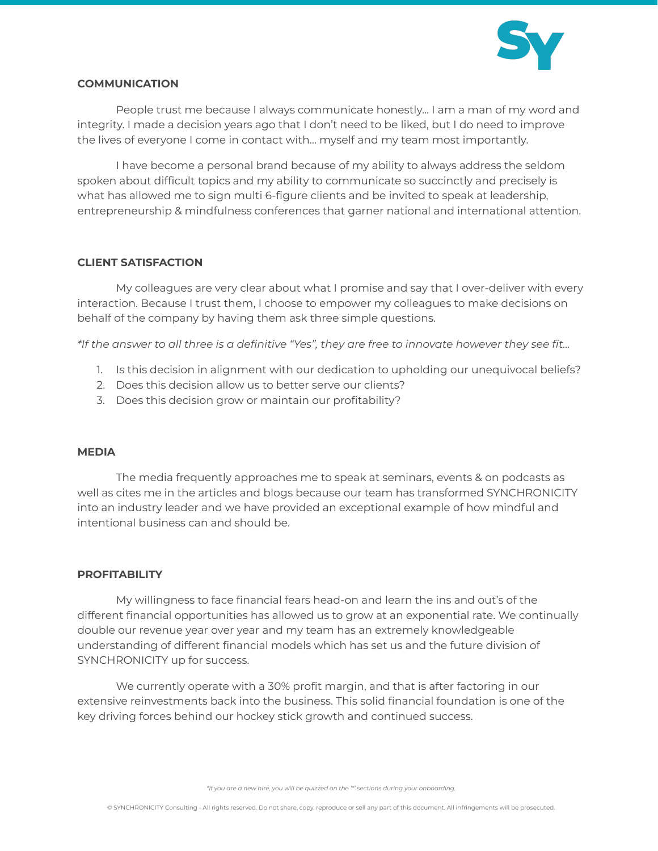

#### **COMMUNICATION**

People trust me because I always communicate honestly... I am a man of my word and integrity. I made a decision years ago that I don't need to be liked, but I do need to improve the lives of everyone I come in contact with… myself and my team most importantly.

I have become a personal brand because of my ability to always address the seldom spoken about difficult topics and my ability to communicate so succinctly and precisely is what has allowed me to sign multi 6-figure clients and be invited to speak at leadership, entrepreneurship & mindfulness conferences that garner national and international attention.

#### **CLIENT SATISFACTION**

My colleagues are very clear about what I promise and say that I over-deliver with every interaction. Because I trust them, I choose to empower my colleagues to make decisions on behalf of the company by having them ask three simple questions.

\*If the answer to all three is a definitive "Yes", they are free to innovate however they see fit...

- 1. Is this decision in alignment with our dedication to upholding our unequivocal beliefs?
- 2. Does this decision allow us to better serve our clients?
- 3. Does this decision grow or maintain our profitability?

#### **MEDIA**

The media frequently approaches me to speak at seminars, events & on podcasts as well as cites me in the articles and blogs because our team has transformed SYNCHRONICITY into an industry leader and we have provided an exceptional example of how mindful and intentional business can and should be.

#### **PROFITABILITY**

My willingness to face financial fears head-on and learn the ins and out's of the different financial opportunities has allowed us to grow at an exponential rate. We continually double our revenue year over year and my team has an extremely knowledgeable understanding of different financial models which has set us and the future division of SYNCHRONICITY up for success.

We currently operate with a 30% profit margin, and that is after factoring in our extensive reinvestments back into the business. This solid financial foundation is one of the key driving forces behind our hockey stick growth and continued success.

*\*If you are a new hire, you will be quizzed on the '\*' sections during your onboarding.*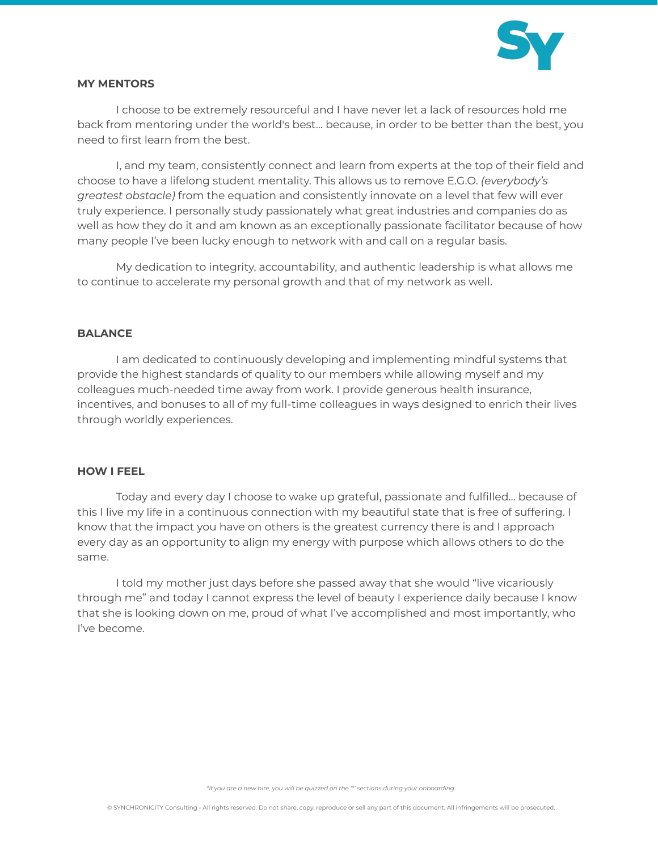

### **MY MENTORS**

I choose to be extremely resourceful and I have never let a lack of resources hold me back from mentoring under the world's best… because, in order to be better than the best, you need to first learn from the best.

I, and my team, consistently connect and learn from experts at the top of their field and choose to have a lifelong student mentality. This allows us to remove E.G.O. *(everybody's greatest obstacle)* from the equation and consistently innovate on a level that few will ever truly experience. I personally study passionately what great industries and companies do as well as how they do it and am known as an exceptionally passionate facilitator because of how many people I've been lucky enough to network with and call on a regular basis.

My dedication to integrity, accountability, and authentic leadership is what allows me to continue to accelerate my personal growth and that of my network as well.

#### **BALANCE**

I am dedicated to continuously developing and implementing mindful systems that provide the highest standards of quality to our members while allowing myself and my colleagues much-needed time away from work. I provide generous health insurance, incentives, and bonuses to all of my full-time colleagues in ways designed to enrich their lives through worldly experiences.

#### **HOW I FEEL**

Today and every day I choose to wake up grateful, passionate and fulfilled… because of this I live my life in a continuous connection with my beautiful state that is free of suffering. I know that the impact you have on others is the greatest currency there is and I approach every day as an opportunity to align my energy with purpose which allows others to do the same.

I told my mother just days before she passed away that she would "live vicariously through me" and today I cannot express the level of beauty I experience daily because I know that she is looking down on me, proud of what I've accomplished and most importantly, who I've become.